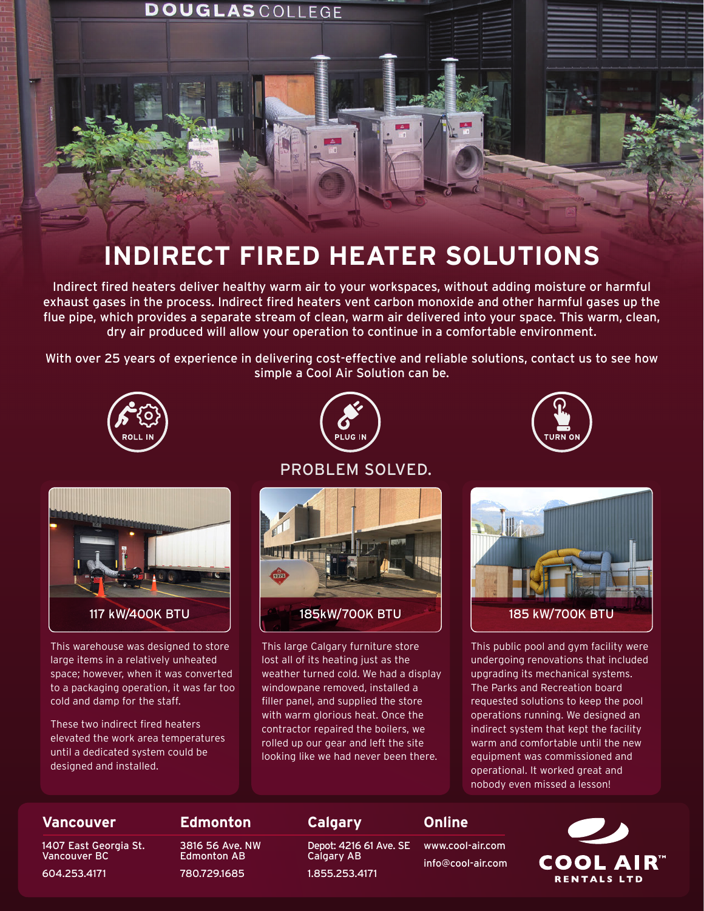

## **INDIRECT FIRED HEATER SOLUTIONS**

Indirect fired heaters deliver healthy warm air to your workspaces, without adding moisture or harmful exhaust gases in the process. Indirect fired heaters vent carbon monoxide and other harmful gases up the flue pipe, which provides a separate stream of clean, warm air delivered into your space. This warm, clean, dry air produced will allow your operation to continue in a comfortable environment.

With over 25 years of experience in delivering cost-effective and reliable solutions, contact us to see how simple a Cool Air Solution can be.









This warehouse was designed to store large items in a relatively unheated space; however, when it was converted to a packaging operation, it was far too cold and damp for the staff.

These two indirect fired heaters elevated the work area temperatures until a dedicated system could be designed and installed.

### PROBLEM SOLVED.



This large Calgary furniture store lost all of its heating just as the weather turned cold. We had a display windowpane removed, installed a filler panel, and supplied the store with warm glorious heat. Once the contractor repaired the boilers, we rolled up our gear and left the site looking like we had never been there.



This public pool and gym facility were undergoing renovations that included upgrading its mechanical systems. The Parks and Recreation board requested solutions to keep the pool operations running. We designed an indirect system that kept the facility warm and comfortable until the new equipment was commissioned and operational. It worked great and nobody even missed a lesson!

### **Edmonton Calgary Online Vancouver** Depot: 4216 61 Ave. SE 1407 East Georgia St. 3816 56 Ave. NW www.cool-air.com Vancouver BC Edmonton AB Calgary AB **COOL AIR"** info@cool-air.com 604.253.4171 780.729.1685 1.855.253.4171 **RENTALS LTD**